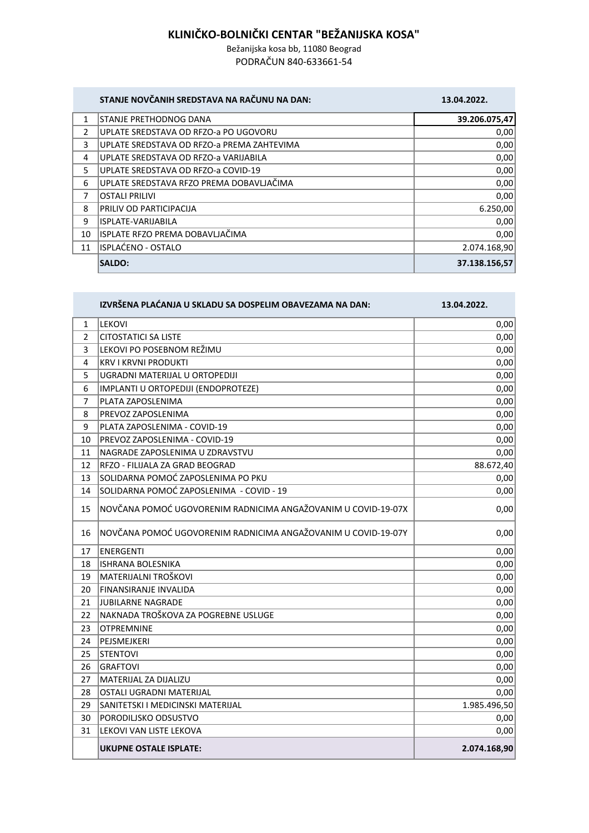## **KLINIČKO-BOLNIČKI CENTAR "BEŽANIJSKA KOSA"**

Bežanijska kosa bb, 11080 Beograd PODRAČUN 840-633661-54

| STANJE NOVČANIH SREDSTAVA NA RAČUNU NA DAN: |  |  |
|---------------------------------------------|--|--|
|                                             |  |  |
|                                             |  |  |

## **STANJE NOVČANIH SREDSTAVA NA RAČUNU NA DAN: 13.04.2022.**

| 1  | STANJE PRETHODNOG DANA                     | 39.206.075,47 |
|----|--------------------------------------------|---------------|
| 2  | UPLATE SREDSTAVA OD RFZO-a PO UGOVORU      | 0,00          |
| 3  | UPLATE SREDSTAVA OD RFZO-a PREMA ZAHTEVIMA | 0,00          |
| 4  | UPLATE SREDSTAVA OD RFZO-a VARIJABILA      | 0,00          |
| 5  | UPLATE SREDSTAVA OD RFZO-a COVID-19        | 0,00          |
| 6  | UPLATE SREDSTAVA RFZO PREMA DOBAVLJAČIMA   | 0,00          |
| 7  | <b>OSTALI PRILIVI</b>                      | 0,00          |
| 8  | PRILIV OD PARTICIPACIJA                    | 6.250,00      |
| 9  | ISPLATE-VARIJABILA                         | 0,00          |
| 10 | ISPLATE RFZO PREMA DOBAVLJAČIMA            | 0,00          |
| 11 | ISPLAĆENO - OSTALO                         | 2.074.168,90  |
|    | <b>SALDO:</b>                              | 37.138.156,57 |

|                | IZVRŠENA PLAĆANJA U SKLADU SA DOSPELIM OBAVEZAMA NA DAN:      | 13.04.2022.  |
|----------------|---------------------------------------------------------------|--------------|
| 1              | <b>LEKOVI</b>                                                 | 0,00         |
| $\overline{2}$ | <b>CITOSTATICI SA LISTE</b>                                   | 0,00         |
| 3              | LEKOVI PO POSEBNOM REŽIMU                                     | 0,00         |
| 4              | <b>KRV I KRVNI PRODUKTI</b>                                   | 0,00         |
| 5              | UGRADNI MATERIJAL U ORTOPEDIJI                                | 0,00         |
| 6              | IMPLANTI U ORTOPEDIJI (ENDOPROTEZE)                           | 0,00         |
| $\overline{7}$ | PLATA ZAPOSLENIMA                                             | 0,00         |
| 8              | PREVOZ ZAPOSLENIMA                                            | 0,00         |
| 9              | PLATA ZAPOSLENIMA - COVID-19                                  | 0,00         |
| 10             | PREVOZ ZAPOSLENIMA - COVID-19                                 | 0,00         |
| 11             | NAGRADE ZAPOSLENIMA U ZDRAVSTVU                               | 0,00         |
| 12             | RFZO - FILIJALA ZA GRAD BEOGRAD                               | 88.672,40    |
| 13             | SOLIDARNA POMOĆ ZAPOSLENIMA PO PKU                            | 0,00         |
| 14             | SOLIDARNA POMOĆ ZAPOSLENIMA - COVID - 19                      | 0,00         |
| 15             | NOVČANA POMOĆ UGOVORENIM RADNICIMA ANGAŽOVANIM U COVID-19-07X | 0,00         |
| 16             | NOVČANA POMOĆ UGOVORENIM RADNICIMA ANGAŽOVANIM U COVID-19-07Y | 0,00         |
| 17             | <b>ENERGENTI</b>                                              | 0,00         |
| 18             | <b>ISHRANA BOLESNIKA</b>                                      | 0,00         |
| 19             | MATERIJALNI TROŠKOVI                                          | 0,00         |
| 20             | FINANSIRANJE INVALIDA                                         | 0,00         |
| 21             | JUBILARNE NAGRADE                                             | 0,00         |
| 22             | NAKNADA TROŠKOVA ZA POGREBNE USLUGE                           | 0,00         |
| 23             | <b>OTPREMNINE</b>                                             | 0,00         |
| 24             | PEJSMEJKERI                                                   | 0,00         |
| 25             | <b>STENTOVI</b>                                               | 0,00         |
| 26             | <b>GRAFTOVI</b>                                               | 0,00         |
| 27             | MATERIJAL ZA DIJALIZU                                         | 0,00         |
| 28             | <b>OSTALI UGRADNI MATERIJAL</b>                               | 0,00         |
| 29             | SANITETSKI I MEDICINSKI MATERIJAL                             | 1.985.496,50 |
| 30             | PORODILISKO ODSUSTVO                                          | 0,00         |
| 31             | LEKOVI VAN LISTE LEKOVA                                       | 0,00         |
|                | <b>UKUPNE OSTALE ISPLATE:</b>                                 | 2.074.168,90 |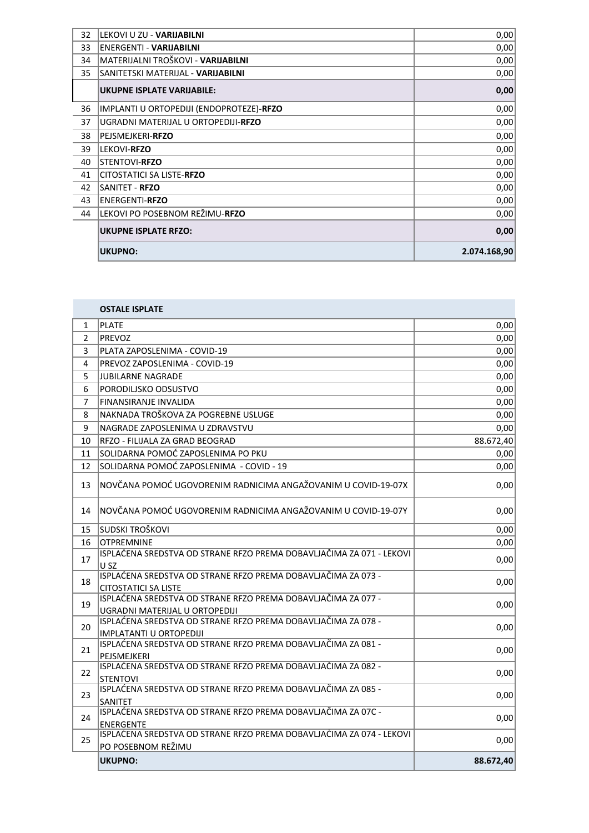| 32 | LEKOVI U ZU - VARIJABILNI                | 0,00         |
|----|------------------------------------------|--------------|
| 33 | <b>ENERGENTI - VARIJABILNI</b>           | 0,00         |
| 34 | MATERIJALNI TROŠKOVI - VARIJABILNI       | 0,00         |
| 35 | SANITETSKI MATERIJAL - VARIJABILNI       | 0,00         |
|    | <b>UKUPNE ISPLATE VARIJABILE:</b>        | 0,00         |
| 36 | IMPLANTI U ORTOPEDIJI (ENDOPROTEZE)-RFZO | 0,00         |
| 37 | UGRADNI MATERIJAL U ORTOPEDIJI-RFZO      | 0,00         |
| 38 | PEJSMEJKERI-RFZO                         | 0,00         |
| 39 | <b>LEKOVI-RFZO</b>                       | 0,00         |
| 40 | <b>STENTOVI-RFZO</b>                     | 0,00         |
| 41 | CITOSTATICI SA LISTE-RFZO                | 0,00         |
| 42 | <b>SANITET - RFZO</b>                    | 0,00         |
| 43 | <b>ENERGENTI-RFZO</b>                    | 0,00         |
| 44 | LEKOVI PO POSEBNOM REŽIMU-RFZO           | 0,00         |
|    | <b>UKUPNE ISPLATE RFZO:</b>              | 0,00         |
|    | <b>UKUPNO:</b>                           | 2.074.168,90 |
|    |                                          |              |

**COL** 

|                | <b>OSTALE ISPLATE</b>                                                                           |           |
|----------------|-------------------------------------------------------------------------------------------------|-----------|
| 1              | <b>PLATE</b>                                                                                    | 0,00      |
| $\overline{2}$ | <b>PREVOZ</b>                                                                                   | 0,00      |
| 3              | PLATA ZAPOSLENIMA - COVID-19                                                                    | 0,00      |
| 4              | PREVOZ ZAPOSLENIMA - COVID-19                                                                   | 0,00      |
| 5              | <b>JUBILARNE NAGRADE</b>                                                                        | 0,00      |
| 6              | PORODILISKO ODSUSTVO                                                                            | 0,00      |
| $\overline{7}$ | FINANSIRANJE INVALIDA                                                                           | 0,00      |
| 8              | NAKNADA TROŠKOVA ZA POGREBNE USLUGE                                                             | 0,00      |
| 9              | NAGRADE ZAPOSLENIMA U ZDRAVSTVU                                                                 | 0,00      |
| 10             | RFZO - FILIJALA ZA GRAD BEOGRAD                                                                 | 88.672,40 |
| 11             | SOLIDARNA POMOĆ ZAPOSLENIMA PO PKU                                                              | 0,00      |
| 12             | SOLIDARNA POMOĆ ZAPOSLENIMA - COVID - 19                                                        | 0,00      |
| 13             | NOVČANA POMOĆ UGOVORENIM RADNICIMA ANGAŽOVANIM U COVID-19-07X                                   | 0,00      |
| 14             | NOVČANA POMOĆ UGOVORENIM RADNICIMA ANGAŽOVANIM U COVID-19-07Y                                   | 0,00      |
| 15             | SUDSKI TROŠKOVI                                                                                 | 0,00      |
| 16             | <b>OTPREMNINE</b>                                                                               | 0,00      |
| 17             | ISPLAĆENA SREDSTVA OD STRANE RFZO PREMA DOBAVLJAČIMA ZA 071 - LEKOVI<br>U SZ                    | 0,00      |
| 18             | ISPLAĆENA SREDSTVA OD STRANE RFZO PREMA DOBAVLJAČIMA ZA 073 -<br>CITOSTATICI SA LISTE           | 0,00      |
| 19             | ISPLAĆENA SREDSTVA OD STRANE RFZO PREMA DOBAVLJAČIMA ZA 077 -<br>UGRADNI MATERIJAL U ORTOPEDIJI | 0,00      |
| 20             | ISPLAĆENA SREDSTVA OD STRANE RFZO PREMA DOBAVLJAČIMA ZA 078 -<br><b>IMPLATANTI U ORTOPEDIJI</b> | 0,00      |
| 21             | ISPLAĆENA SREDSTVA OD STRANE RFZO PREMA DOBAVLJAČIMA ZA 081 -<br>PEJSMEJKERI                    | 0,00      |
| 22             | ISPLAĆENA SREDSTVA OD STRANE RFZO PREMA DOBAVLJAČIMA ZA 082 -<br><b>STENTOVI</b>                | 0,00      |
| 23             | ISPLAĆENA SREDSTVA OD STRANE RFZO PREMA DOBAVLJAČIMA ZA 085 -<br>SANITET                        | 0,00      |
| 24             | ISPLAĆENA SREDSTVA OD STRANE RFZO PREMA DOBAVLJAČIMA ZA 07C -<br><b>ENERGENTE</b>               | 0,00      |
| 25             | ISPLAĆENA SREDSTVA OD STRANE RFZO PREMA DOBAVLJAČIMA ZA 074 - LEKOVI<br>PO POSEBNOM REŽIMU      | 0,00      |
|                | <b>UKUPNO:</b>                                                                                  | 88.672,40 |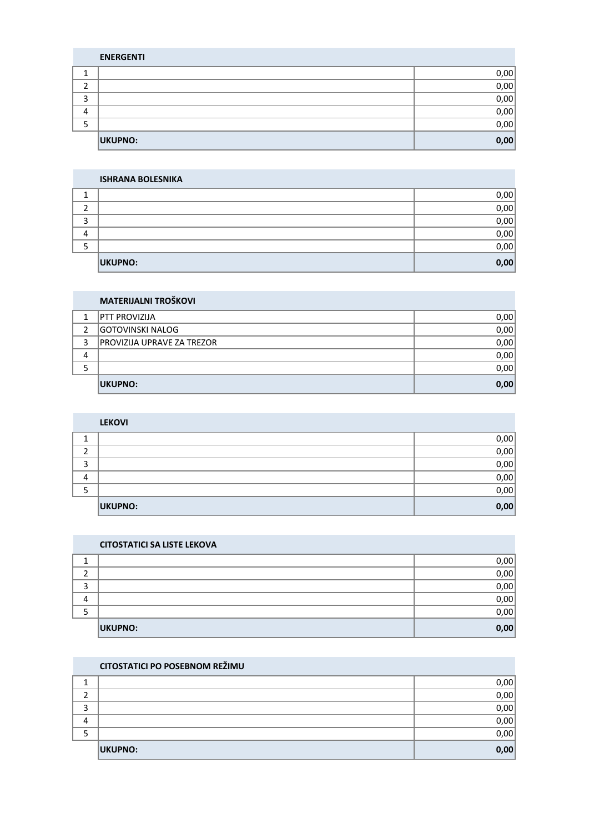|   | <b>CITOSTATICI PO POSEBNOM REŽIMU</b> |      |
|---|---------------------------------------|------|
|   |                                       | 0,00 |
|   |                                       | 0,00 |
|   |                                       | 0,00 |
| 4 |                                       | 0,00 |
|   |                                       | 0,00 |
|   | UKUPNO:                               | 0,00 |

## $\begin{array}{ccc} 1 & 0,00 \end{array}$  $2 \left| \begin{array}{ccc} 2 & 0.00 \end{array} \right|$  $\overline{3}$  0,00  $\begin{array}{ccc} 4 & 0.00 \end{array}$  $\overline{5}$  0,00 **UKUPNO: 0,00**

**CITOSTATICI SA LISTE LEKOVA**

|   | <b>LEKOVI</b> |      |
|---|---------------|------|
|   |               | 0,00 |
|   |               | 0,00 |
| 3 |               | 0,00 |
| 4 |               | 0,00 |
|   |               | 0,00 |
|   | UKUPNO:       | 0,00 |

|   | <b>MATERIJALNI TROŠKOVI</b> |      |
|---|-----------------------------|------|
| 1 | <b>PTT PROVIZIJA</b>        | 0,00 |
| 2 | <b>GOTOVINSKI NALOG</b>     | 0,00 |
| 3 | PROVIZIJA UPRAVE ZA TREZOR  | 0,00 |
| 4 |                             | 0,00 |
|   |                             | 0,00 |
|   | UKUPNO:                     | 0,00 |

|         | <b>ISHRANA BOLESNIKA</b> |      |
|---------|--------------------------|------|
|         |                          | 0,00 |
|         |                          | 0,00 |
| Ξ.<br>Ð |                          | 0,00 |
| 4       |                          | 0,00 |
| כ       |                          | 0,00 |
|         | <b>UKUPNO:</b>           | 0,00 |

|   | <b>ENERGENTI</b> |      |
|---|------------------|------|
|   |                  | 0,00 |
|   |                  | 0,00 |
|   |                  | 0,00 |
| 4 |                  | 0,00 |
|   |                  | 0,00 |
|   | UKUPNO:          | 0,00 |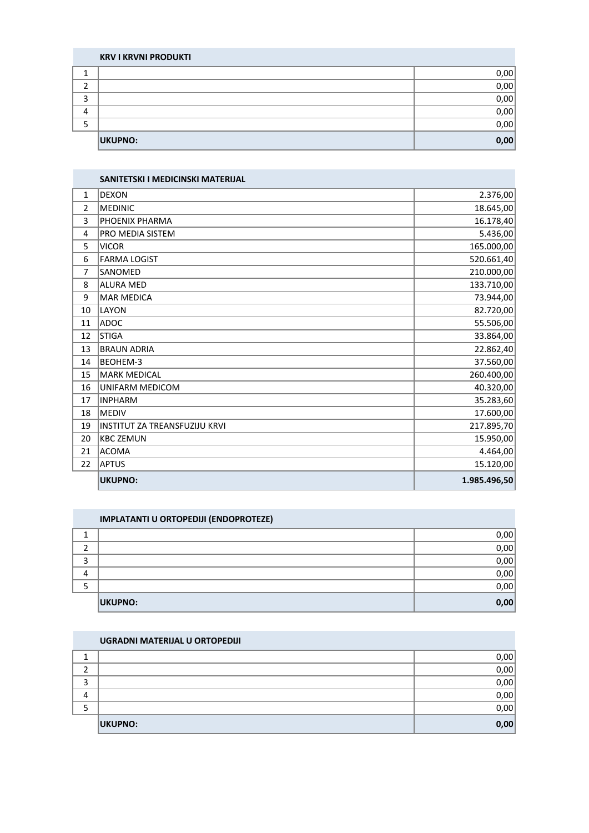|   | <b>KRV I KRVNI PRODUKTI</b> |      |
|---|-----------------------------|------|
|   |                             | 0,00 |
| ∍ |                             | 0,00 |
| っ |                             | 0,00 |
|   |                             | 0,00 |
|   |                             | 0,00 |
|   | <b>UKUPNO:</b>              | 0,00 |

|                | SANITETSKI I MEDICINSKI MATERIJAL |              |
|----------------|-----------------------------------|--------------|
| $\mathbf{1}$   | <b>DEXON</b>                      | 2.376,00     |
| $\overline{2}$ | <b>MEDINIC</b>                    | 18.645,00    |
| 3              | PHOENIX PHARMA                    | 16.178,40    |
| 4              | <b>PRO MEDIA SISTEM</b>           | 5.436,00     |
| 5              | <b>VICOR</b>                      | 165.000,00   |
| 6              | <b>FARMA LOGIST</b>               | 520.661,40   |
| 7              | SANOMED                           | 210.000,00   |
| 8              | <b>ALURA MED</b>                  | 133.710,00   |
| 9              | MAR MEDICA                        | 73.944,00    |
| 10             | LAYON                             | 82.720,00    |
| 11             | ADOC                              | 55.506,00    |
| 12             | <b>STIGA</b>                      | 33.864,00    |
| 13             | <b>BRAUN ADRIA</b>                | 22.862,40    |
| 14             | BEOHEM-3                          | 37.560,00    |
| 15             | MARK MEDICAL                      | 260.400,00   |
| 16             | <b>UNIFARM MEDICOM</b>            | 40.320,00    |
| 17             | <b>INPHARM</b>                    | 35.283,60    |
| 18             | <b>MEDIV</b>                      | 17.600,00    |
| 19             | INSTITUT ZA TREANSFUZIJU KRVI     | 217.895,70   |
| 20             | <b>KBC ZEMUN</b>                  | 15.950,00    |
| 21             | ACOMA                             | 4.464,00     |
| 22             | <b>APTUS</b>                      | 15.120,00    |
|                | <b>UKUPNO:</b>                    | 1.985.496,50 |

|   | <b>IMPLATANTI U ORTOPEDIJI (ENDOPROTEZE)</b> |      |  |  |
|---|----------------------------------------------|------|--|--|
|   |                                              | 0,00 |  |  |
|   |                                              | 0,00 |  |  |
| ੨ |                                              | 0,00 |  |  |
| Λ |                                              | 0,00 |  |  |
|   |                                              | 0,00 |  |  |
|   | UKUPNO:                                      | 0,00 |  |  |

| UGRADNI MATERIJAL U ORTOPEDIJI |  |  |
|--------------------------------|--|--|
|                                |  |  |

|        |                | 0,00 |
|--------|----------------|------|
|        |                | 0,00 |
| ີ<br>د |                | 0,00 |
| 4      |                | 0,00 |
| ر      |                | 0,00 |
|        | <b>UKUPNO:</b> | 0,00 |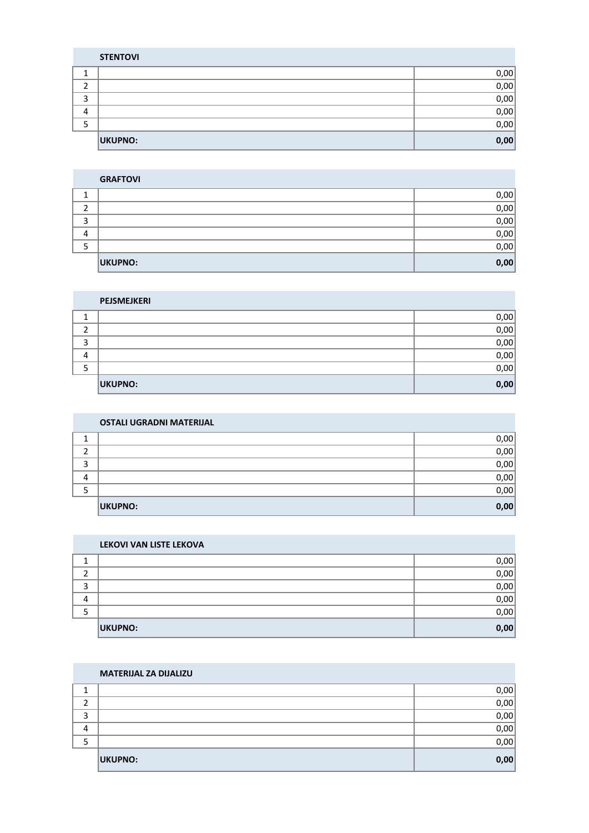|   | <b>MATERIJAL ZA DIJALIZU</b> |      |
|---|------------------------------|------|
|   |                              | 0,00 |
|   |                              | 0,00 |
| 3 |                              | 0,00 |
| 4 |                              | 0,00 |
|   |                              | 0,00 |
|   | <b>UKUPNO:</b>               | 0,00 |

| LEKOVI VAN LISTE LEKOVA |      |
|-------------------------|------|
|                         | 0,00 |
|                         | 0,00 |
|                         | 0,00 |
|                         | 0,00 |
|                         | 0,00 |
| <b>UKUPNO:</b>          | 0,00 |

|   | <b>OSTALI UGRADNI MATERIJAL</b> |      |  |
|---|---------------------------------|------|--|
|   |                                 | 0,00 |  |
|   |                                 | 0,00 |  |
| っ |                                 | 0,00 |  |
| 4 |                                 | 0,00 |  |
|   |                                 | 0,00 |  |
|   | <b>UKUPNO:</b>                  | 0,00 |  |

|    | PEJSMEJKERI    |      |
|----|----------------|------|
| ×. |                | 0,00 |
| 2  |                | 0,00 |
| 3  |                | 0,00 |
| 4  |                | 0,00 |
| 5  |                | 0,00 |
|    | <b>UKUPNO:</b> | 0,00 |

|   | <b>GRAFTOVI</b> |      |
|---|-----------------|------|
| ◢ |                 | 0,00 |
| ำ |                 | 0,00 |
| 3 |                 | 0,00 |
| 4 |                 | 0,00 |
| 5 |                 | 0,00 |
|   | <b>UKUPNO:</b>  | 0,00 |

|         | <b>STENTOVI</b> |      |
|---------|-----------------|------|
| ◢<br>д, |                 | 0,00 |
| 2       |                 | 0,00 |
| 3       |                 | 0,00 |
| 4       |                 | 0,00 |
| 5       |                 | 0,00 |
|         | <b>UKUPNO:</b>  | 0,00 |